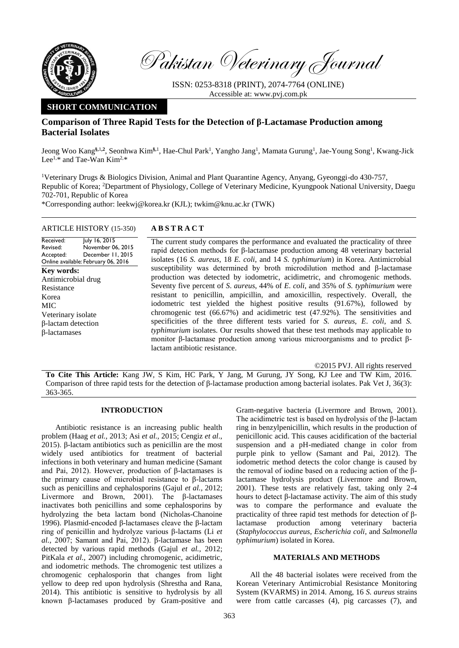

Pakistan Veterinary Journal

ISSN: 0253-8318 (PRINT), 2074-7764 (ONLINE) Accessible at: [www.pvj.com.pk](http://www.pvj.com.pk/)

# **SHORT COMMUNICATION**

# **Comparison of Three Rapid Tests for the Detection of β-Lactamase Production among Bacterial Isolates**

Jeong Woo Kang<sup>§,1,2</sup>, Seonhwa Kim<sup>§,1</sup>, Hae-Chul Park<sup>1</sup>, Yangho Jang<sup>1</sup>, Mamata Gurung<sup>1</sup>, Jae-Young Song<sup>1</sup>, Kwang-Jick Lee<sup>1,\*</sup> and Tae-Wan Kim<sup>2,\*</sup>

<sup>1</sup>Veterinary Drugs & Biologics Division, Animal and Plant Quarantine Agency, Anyang, Gyeonggi-do 430-757, Republic of Korea; <sup>2</sup>Department of Physiology, College of Veterinary Medicine, Kyungpook National University, Daegu 702-701, Republic of Korea

\*Corresponding author: leekwj@korea.kr (KJL); twkim@knu.ac.kr (TWK)

# ARTICLE HISTORY (15-350) **A B S T R A C T**

Received: Revised: Accepted: Online available: February 06, 2016 July 16, 2015 November 06, 2015 December 11, 2015 **Key words:**  Antimicrobial drug Resistance Korea MIC Veterinary isolate β-lactam detection β-lactamases

The current study compares the performance and evaluated the practicality of three rapid detection methods for β-lactamase production among 48 veterinary bacterial isolates (16 *S. aureus*, 18 *E. coli*, and 14 *S. typhimurium*) in Korea. Antimicrobial susceptibility was determined by broth microdilution method and β-lactamase production was detected by iodometric, acidimetric, and chromogenic methods. Seventy five percent of *S*. *aureus*, 44% of *E*. *coli*, and 35% of *S. typhimurium* were resistant to penicillin, ampicillin, and amoxicillin, respectively. Overall, the iodometric test yielded the highest positive results (91.67%), followed by chromogenic test (66.67%) and acidimetric test (47.92%). The sensitivities and specificities of the three different tests varied for *S. aureus*, *E*. *coli*, and *S. typhimurium* isolates. Our results showed that these test methods may applicable to monitor β-lactamase production among various microorganisms and to predict βlactam antibiotic resistance.

©2015 PVJ. All rights reserved

**To Cite This Article:** Kang JW, S Kim, HC Park, Y Jang, M Gurung, JY Song, KJ Lee and TW Kim, 2016. Comparison of three rapid tests for the detection of β-lactamase production among bacterial isolates. Pak Vet J, 36(3): 363-365.

# **INTRODUCTION**

Antibiotic resistance is an increasing public health problem (Haag *et al.,* 2013; Asi *et al.,* 2015; Cengiz *et al*., 2015). β-lactam antibiotics such as penicillin are the most widely used antibiotics for treatment of bacterial infections in both veterinary and human medicine (Samant and Pai, 2012). However, production of β-lactamases is the primary cause of microbial resistance to β-lactams such as penicillins and cephalosporins (Gajul *et al.,* 2012; Livermore and Brown, 2001). The β-lactamases inactivates both penicillins and some cephalosporins by hydrolyzing the beta lactam bond (Nicholas-Chanoine 1996). Plasmid-encoded β-lactamases cleave the β-lactam ring of penicillin and hydrolyze various β-lactams (Li *et al.,* 2007; Samant and Pai, 2012). β-lactamase has been detected by various rapid methods (Gajul *et al.,* 2012; PitKala *et al.,* 2007) including chromogenic, acidimetric, and iodometric methods. The chromogenic test utilizes a chromogenic cephalosporin that changes from light yellow to deep red upon hydrolysis (Shrestha and Rana, 2014). This antibiotic is sensitive to hydrolysis by all known β-lactamases produced by Gram-positive and

Gram-negative bacteria (Livermore and Brown, 2001). The acidimetric test is based on hydrolysis of the β-lactam ring in benzylpenicillin, which results in the production of penicillonic acid. This causes acidification of the bacterial suspension and a pH-mediated change in color from purple pink to yellow (Samant and Pai, 2012). The iodometric method detects the color change is caused by the removal of iodine based on a reducing action of the βlactamase hydrolysis product (Livermore and Brown, 2001). These tests are relatively fast, taking only 2-4 hours to detect β-lactamase activity. The aim of this study was to compare the performance and evaluate the practicality of three rapid test methods for detection of βlactamase production among veterinary bacteria (*Staphylococcus aureus*, *Escherichia coli*, and *Salmonella typhimurium*) isolated in Korea.

### **MATERIALS AND METHODS**

All the 48 bacterial isolates were received from the Korean Veterinary Antimicrobial Resistance Monitoring System (KVARMS) in 2014. Among, 16 *S. aureus* strains were from cattle carcasses (4), pig carcasses (7), and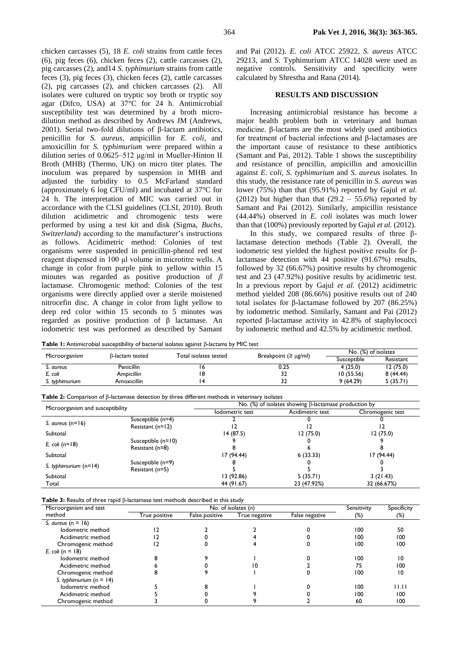chicken carcasses (5), 18 *E. coli* strains from cattle feces (6), pig feces (6), chicken feces (2), cattle carcasses (2), pig carcasses (2), and14 *S. typhimurium* strains from cattle feces (3), pig feces (3), chicken feces (2), cattle carcasses (2), pig carcasses (2), and chicken carcasses (2). All isolates were cultured on tryptic soy broth or tryptic soy agar (Difco, USA) at 37°C for 24 h. Antimicrobial susceptibility test was determined by a broth microdilution method as described by Andrews JM (Andrews, 2001). Serial two-fold dilutions of β-lactam antibiotics, penicillin for *S. aureus*, ampicillin for *E. coli*, and amoxicillin for *S. typhimurium* were prepared within a dilution series of 0.0625–512 μg/ml in Mueller-Hinton II Broth (MHB) (Thermo, UK) on micro titer plates. The inoculum was prepared by suspension in MHB and adjusted the turbidity to 0.5 McFarland standard (approximately 6 log CFU/ml) and incubated at 37°C for 24 h. The interpretation of MIC was carried out in accordance with the CLSI guidelines (CLSI, 2010). Broth dilution acidimetric and chromogenic tests were performed by using a test kit and disk (Sigma, *Buchs*, *Switzerland*) according to the manufacturer's instructions as follows. Acidimetric method: Colonies of test organisms were suspended in penicillin-phenol red test reagent dispensed in 100 μl volume in microtitre wells. A change in color from purple pink to yellow within 15 minutes was regarded as positive production of *β*  lactamase. Chromogenic method: Colonies of the test organisms were directly applied over a sterile moistened nitrocefin disc. A change in color from light yellow to deep red color within 15 seconds to 5 minutes was regarded as positive production of β lactamase. An iodometric test was performed as described by Samant and Pai (2012). *E. coli* ATCC 25922, *S. aureus* ATCC 29213, and *S.* Typhimurium ATCC 14028 were used as negative controls. Sensitivity and specificity were calculated by Shrestha and Rana (2014).

#### **RESULTS AND DISCUSSION**

Increasing antimicrobial resistance has become a major health problem both in veterinary and human medicine. β-lactams are the most widely used antibiotics for treatment of bacterial infections and β-lactamases are the important cause of resistance to these antibiotics (Samant and Pai, 2012). Table 1 shows the susceptibility and resistance of pencillin, ampicillin and amoxicillin against *E. coli*, *S. typhimurium* and *S. aureus* isolates. In this study, the resistance rate of penicillin in *S*. *aureus* was lower (75%) than that (95.91%) reported by Gajul *et al.* (2012) but higher than that  $(29.2 - 55.6%)$  reported by Samant and Pai (2012). Similarly, ampicillin resistance (44.44%) observed in *E*. *coli* isolates was much lower than that (100%) previously reported by Gajul *et al.* (2012).

In this study, we compared results of three βlactamase detection methods (Table 2). Overall, the iodometric test yielded the highest positive results for βlactamase detection with 44 positive (91.67%) results, followed by 32 (66.67%) positive results by chromogenic test and 23 (47.92%) positive results by acidimetric test. In a previous report by Gajul *et al.* (2012) acidimetric method yielded 208 (86.66%) positive results out of 240 total isolates for β-lactamase followed by 207 (86.25%) by iodometric method. Similarly, Samant and Pai (2012) reported β-lactamase activity in 42.8% of staphylococci by iodometric method and 42.5% by acidimetric method.

**Table 1:** Antimicrobial susceptibility of bacterial isolates against β-lactams by MIC test

| Microorganism  | B-lactam tested   | Total isolates tested |                           | No. (%) of isolates |           |
|----------------|-------------------|-----------------------|---------------------------|---------------------|-----------|
|                |                   |                       | Breakpoint $(2 \mu g/ml)$ | Susceptible         | Resistant |
| S. aureus      | <b>Penicillin</b> | ס ו                   | 0.25                      | 4(25.0)             | 12(75.0)  |
| E. coli        | Ampicillin        | .8                    | 32                        | 10(55.56)           | 8(44.44)  |
| S. typhimurium | Amoxicillin       |                       | 32                        | 9(64.29)            | 5(35.71)  |

**Table 2:** Comparison of β-lactamase detection by three different methods in veterinary isolates

| Microorganism and susceptibility |                      | No. $(\%)$ of isolates showing $\beta$ -lactamase production by |                  |                  |  |
|----------------------------------|----------------------|-----------------------------------------------------------------|------------------|------------------|--|
|                                  |                      | lodometric test                                                 | Acidimetric test | Chromogenic test |  |
|                                  | Susceptible (n=4)    |                                                                 |                  |                  |  |
| S. aureus $(n=16)$               | Resistant $(n=12)$   |                                                                 |                  |                  |  |
| Subtotal                         |                      | 14 (87.5)                                                       | 12(75.0)         | 12 (75.0)        |  |
|                                  | Susceptible $(n=10)$ |                                                                 |                  |                  |  |
| E. coli ( $n=18$ )               | Resistant (n=8)      |                                                                 |                  |                  |  |
| Subtotal                         |                      | 17 (94.44)                                                      | 6(33.33)         | 17 (94.44)       |  |
|                                  | Susceptible (n=9)    |                                                                 |                  |                  |  |
| S. typhimurium $(n=14)$          | Resistant (n=5)      |                                                                 |                  |                  |  |
| Subtotal                         |                      | 13 (92.86)                                                      | 5(35.71)         | 3(21.43)         |  |
| Total                            |                      | 44 (91.67)                                                      | 23 (47.92%)      | 32 (66.67%)      |  |

**Table 3:** Results of three rapid β-lactamase test methods described in this study

| Microorganism and test    | No. of isolates (n) |                |               |                | Sensitivity | Specificity |
|---------------------------|---------------------|----------------|---------------|----------------|-------------|-------------|
| method                    | True positive       | False positive | True negative | False negative | $(\%)$      | $(\%)$      |
| S. aureus ( $n = 16$ )    |                     |                |               |                |             |             |
| lodometric method         |                     |                |               |                | 100         | 50          |
| Acidimetric method        |                     |                |               |                | 100         | 100         |
| Chromogenic method        |                     |                |               |                | 100         | 100         |
| E. coli ( $n = 18$ )      |                     |                |               |                |             |             |
| lodometric method         |                     |                |               |                | 100         | 10          |
| Acidimetric method        |                     |                |               |                | 75          | 100         |
| Chromogenic method        |                     |                |               |                | 100         | 10          |
| S. typhimurium $(n = 14)$ |                     |                |               |                |             |             |
| lodometric method         |                     |                |               |                | 100         | 11.11       |
| Acidimetric method        |                     |                |               |                | 100         | 100         |
| Chromogenic method        |                     |                |               |                | 60          | 100         |